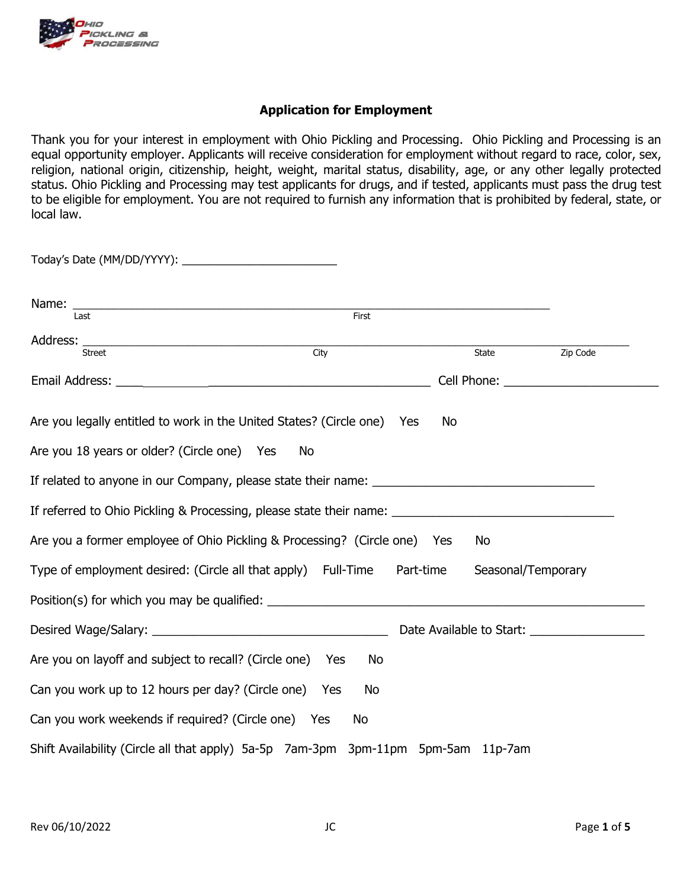

## **Application for Employment**

Thank you for your interest in employment with Ohio Pickling and Processing. Ohio Pickling and Processing is an equal opportunity employer. Applicants will receive consideration for employment without regard to race, color, sex, religion, national origin, citizenship, height, weight, marital status, disability, age, or any other legally protected status. Ohio Pickling and Processing may test applicants for drugs, and if tested, applicants must pass the drug test to be eligible for employment. You are not required to furnish any information that is prohibited by federal, state, or local law.

| Last                                                                                                 | First |           |                    |                                            |
|------------------------------------------------------------------------------------------------------|-------|-----------|--------------------|--------------------------------------------|
|                                                                                                      |       |           |                    |                                            |
| <b>Street</b>                                                                                        | City  |           | State              | Zip Code                                   |
|                                                                                                      |       |           |                    | Cell Phone: <u>_______________________</u> |
| Are you legally entitled to work in the United States? (Circle one) Yes                              |       | No        |                    |                                            |
| Are you 18 years or older? (Circle one) Yes                                                          | No    |           |                    |                                            |
|                                                                                                      |       |           |                    |                                            |
| If referred to Ohio Pickling & Processing, please state their name: ________________________________ |       |           |                    |                                            |
| Are you a former employee of Ohio Pickling & Processing? (Circle one) Yes                            |       |           | No                 |                                            |
| Type of employment desired: (Circle all that apply) Full-Time                                        |       | Part-time | Seasonal/Temporary |                                            |
| Position(s) for which you may be qualified:                                                          |       |           |                    |                                            |
|                                                                                                      |       |           |                    | Date Available to Start:                   |
| Are you on layoff and subject to recall? (Circle one) Yes                                            | No    |           |                    |                                            |
| Can you work up to 12 hours per day? (Circle one) Yes                                                | No    |           |                    |                                            |
| Can you work weekends if required? (Circle one) Yes                                                  | No    |           |                    |                                            |
| Shift Availability (Circle all that apply) 5a-5p 7am-3pm 3pm-11pm 5pm-5am 11p-7am                    |       |           |                    |                                            |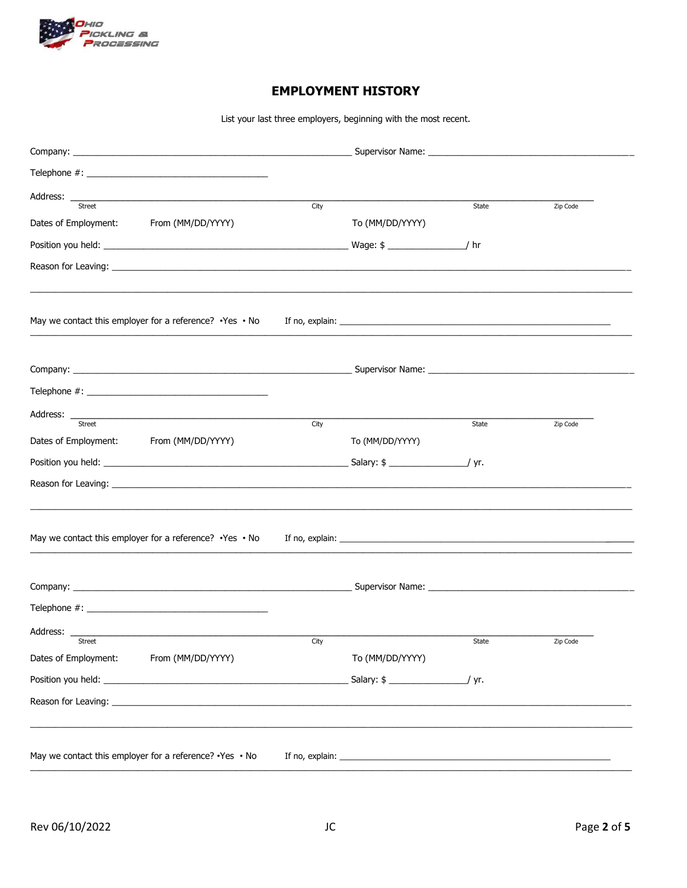

# **EMPLOYMENT HISTORY**

List your last three employers, beginning with the most recent.

| Address: _<br><u> 2002 - Jan James James James James James James James James James James James James James James James James Ja</u><br>Street | City |                 | State | Zip Code |
|-----------------------------------------------------------------------------------------------------------------------------------------------|------|-----------------|-------|----------|
| Dates of Employment:<br>From (MM/DD/YYYY)                                                                                                     |      | To (MM/DD/YYYY) |       |          |
|                                                                                                                                               |      |                 |       |          |
|                                                                                                                                               |      |                 |       |          |
|                                                                                                                                               |      |                 |       |          |
|                                                                                                                                               |      |                 |       |          |
|                                                                                                                                               |      |                 |       |          |
|                                                                                                                                               |      |                 |       |          |
| Street<br>Dates of Employment: From (MM/DD/YYYY)                                                                                              | City | To (MM/DD/YYYY) | State | Zip Code |
|                                                                                                                                               |      |                 |       |          |
|                                                                                                                                               |      |                 |       |          |
|                                                                                                                                               |      |                 |       |          |
|                                                                                                                                               |      |                 |       |          |
|                                                                                                                                               |      |                 |       |          |
| Address:                                                                                                                                      |      |                 |       |          |
| <b>Street</b><br>Dates of Employment:<br>From (MM/DD/YYYY)                                                                                    | City | To (MM/DD/YYYY) | State | Zip Code |
|                                                                                                                                               |      |                 |       |          |
|                                                                                                                                               |      |                 |       |          |
|                                                                                                                                               |      |                 |       |          |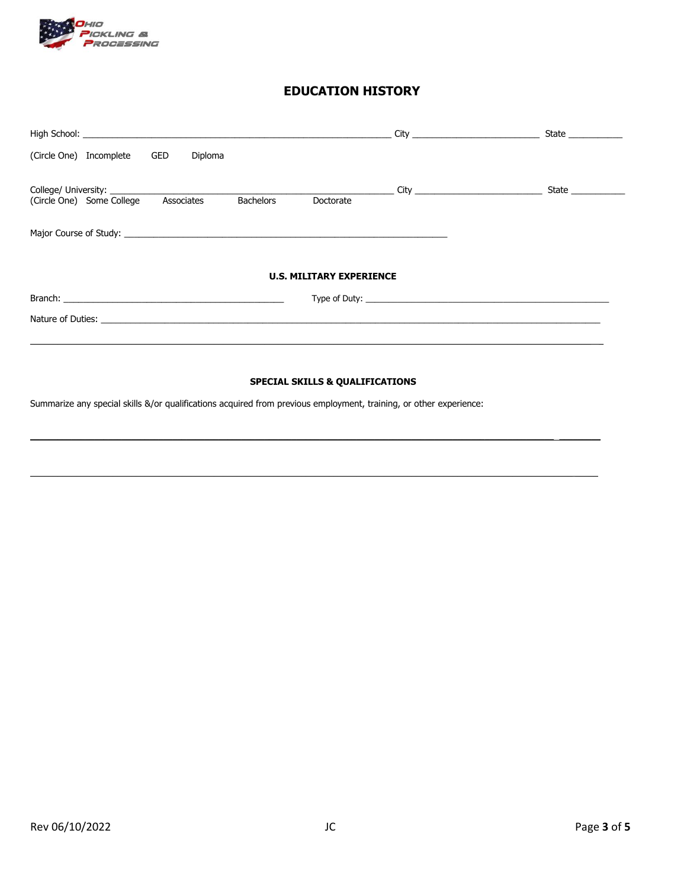

## **EDUCATION HISTORY**

| (Circle One) Incomplete GED<br>Diploma                                                                         |                                 |                    |
|----------------------------------------------------------------------------------------------------------------|---------------------------------|--------------------|
| Associates<br><b>Bachelors</b><br>(Circle One) Some College                                                    | Doctorate                       | State ____________ |
|                                                                                                                |                                 |                    |
| Major Course of Study: Note that the study of the study of the study of the study of the study of the study of |                                 |                    |
|                                                                                                                |                                 |                    |
|                                                                                                                | <b>U.S. MILITARY EXPERIENCE</b> |                    |
|                                                                                                                |                                 |                    |
| Nature of Duties: Nature of Duties:                                                                            |                                 |                    |
|                                                                                                                |                                 |                    |
|                                                                                                                |                                 |                    |

## **SPECIAL SKILLS & QUALIFICATIONS**

Summarize any special skills &/or qualifications acquired from previous employment, training, or other experience: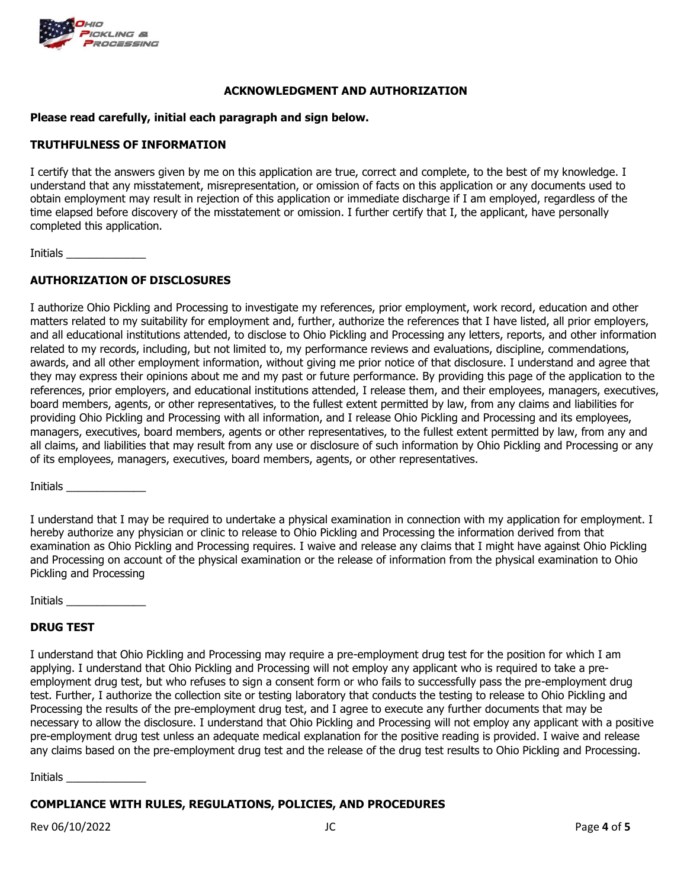

#### **ACKNOWLEDGMENT AND AUTHORIZATION**

#### **Please read carefully, initial each paragraph and sign below.**

#### **TRUTHFULNESS OF INFORMATION**

I certify that the answers given by me on this application are true, correct and complete, to the best of my knowledge. I understand that any misstatement, misrepresentation, or omission of facts on this application or any documents used to obtain employment may result in rejection of this application or immediate discharge if I am employed, regardless of the time elapsed before discovery of the misstatement or omission. I further certify that I, the applicant, have personally completed this application.

Initials \_\_\_\_\_\_\_\_\_\_\_\_\_

### **AUTHORIZATION OF DISCLOSURES**

I authorize Ohio Pickling and Processing to investigate my references, prior employment, work record, education and other matters related to my suitability for employment and, further, authorize the references that I have listed, all prior employers, and all educational institutions attended, to disclose to Ohio Pickling and Processing any letters, reports, and other information related to my records, including, but not limited to, my performance reviews and evaluations, discipline, commendations, awards, and all other employment information, without giving me prior notice of that disclosure. I understand and agree that they may express their opinions about me and my past or future performance. By providing this page of the application to the references, prior employers, and educational institutions attended, I release them, and their employees, managers, executives, board members, agents, or other representatives, to the fullest extent permitted by law, from any claims and liabilities for providing Ohio Pickling and Processing with all information, and I release Ohio Pickling and Processing and its employees, managers, executives, board members, agents or other representatives, to the fullest extent permitted by law, from any and all claims, and liabilities that may result from any use or disclosure of such information by Ohio Pickling and Processing or any of its employees, managers, executives, board members, agents, or other representatives.

Initials \_\_\_\_\_\_\_\_\_\_\_\_\_

I understand that I may be required to undertake a physical examination in connection with my application for employment. I hereby authorize any physician or clinic to release to Ohio Pickling and Processing the information derived from that examination as Ohio Pickling and Processing requires. I waive and release any claims that I might have against Ohio Pickling and Processing on account of the physical examination or the release of information from the physical examination to Ohio Pickling and Processing

Initials \_\_\_\_\_\_\_\_\_\_\_\_\_

#### **DRUG TEST**

I understand that Ohio Pickling and Processing may require a pre-employment drug test for the position for which I am applying. I understand that Ohio Pickling and Processing will not employ any applicant who is required to take a preemployment drug test, but who refuses to sign a consent form or who fails to successfully pass the pre-employment drug test. Further, I authorize the collection site or testing laboratory that conducts the testing to release to Ohio Pickling and Processing the results of the pre-employment drug test, and I agree to execute any further documents that may be necessary to allow the disclosure. I understand that Ohio Pickling and Processing will not employ any applicant with a positive pre-employment drug test unless an adequate medical explanation for the positive reading is provided. I waive and release any claims based on the pre-employment drug test and the release of the drug test results to Ohio Pickling and Processing.

Initials \_\_\_\_\_\_\_\_\_\_\_\_\_

### **COMPLIANCE WITH RULES, REGULATIONS, POLICIES, AND PROCEDURES**

Rev 06/10/2022 JC Page **4** of **5**